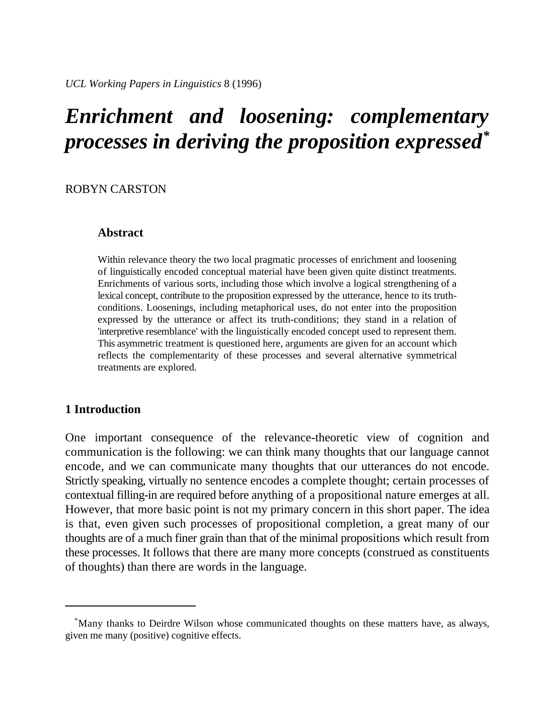# *Enrichment and loosening: complementary processes in deriving the proposition expressed\**

## ROBYN CARSTON

## **Abstract**

Within relevance theory the two local pragmatic processes of enrichment and loosening of linguistically encoded conceptual material have been given quite distinct treatments. Enrichments of various sorts, including those which involve a logical strengthening of a lexical concept, contribute to the proposition expressed by the utterance, hence to its truthconditions. Loosenings, including metaphorical uses, do not enter into the proposition expressed by the utterance or affect its truth-conditions; they stand in a relation of 'interpretive resemblance' with the linguistically encoded concept used to represent them. This asymmetric treatment is questioned here, arguments are given for an account which reflects the complementarity of these processes and several alternative symmetrical treatments are explored.

# **1 Introduction**

One important consequence of the relevance-theoretic view of cognition and communication is the following: we can think many thoughts that our language cannot encode, and we can communicate many thoughts that our utterances do not encode. Strictly speaking, virtually no sentence encodes a complete thought; certain processes of contextual filling-in are required before anything of a propositional nature emerges at all. However, that more basic point is not my primary concern in this short paper. The idea is that, even given such processes of propositional completion, a great many of our thoughts are of a much finer grain than that of the minimal propositions which result from these processes. It follows that there are many more concepts (construed as constituents of thoughts) than there are words in the language.

Many thanks to Deirdre Wilson whose communicated thoughts on these matters have, as always, \* given me many (positive) cognitive effects.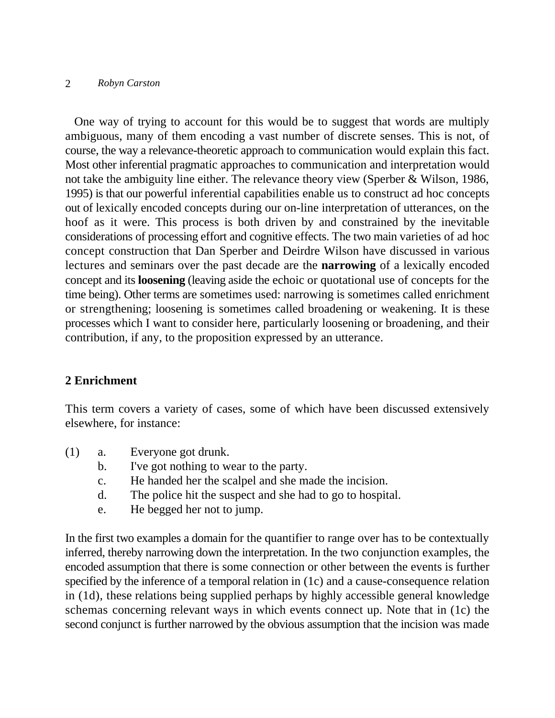One way of trying to account for this would be to suggest that words are multiply ambiguous, many of them encoding a vast number of discrete senses. This is not, of course, the way a relevance-theoretic approach to communication would explain this fact. Most other inferential pragmatic approaches to communication and interpretation would not take the ambiguity line either. The relevance theory view (Sperber & Wilson, 1986, 1995) is that our powerful inferential capabilities enable us to construct ad hoc concepts out of lexically encoded concepts during our on-line interpretation of utterances, on the hoof as it were. This process is both driven by and constrained by the inevitable considerations of processing effort and cognitive effects. The two main varieties of ad hoc concept construction that Dan Sperber and Deirdre Wilson have discussed in various lectures and seminars over the past decade are the **narrowing** of a lexically encoded concept and its **loosening** (leaving aside the echoic or quotational use of concepts for the time being). Other terms are sometimes used: narrowing is sometimes called enrichment or strengthening; loosening is sometimes called broadening or weakening. It is these processes which I want to consider here, particularly loosening or broadening, and their contribution, if any, to the proposition expressed by an utterance.

# **2 Enrichment**

This term covers a variety of cases, some of which have been discussed extensively elsewhere, for instance:

- (1) a. Everyone got drunk.
	- b. I've got nothing to wear to the party.
	- c. He handed her the scalpel and she made the incision.
	- d. The police hit the suspect and she had to go to hospital.
	- e. He begged her not to jump.

In the first two examples a domain for the quantifier to range over has to be contextually inferred, thereby narrowing down the interpretation. In the two conjunction examples, the encoded assumption that there is some connection or other between the events is further specified by the inference of a temporal relation in (1c) and a cause-consequence relation in (1d), these relations being supplied perhaps by highly accessible general knowledge schemas concerning relevant ways in which events connect up. Note that in (1c) the second conjunct is further narrowed by the obvious assumption that the incision was made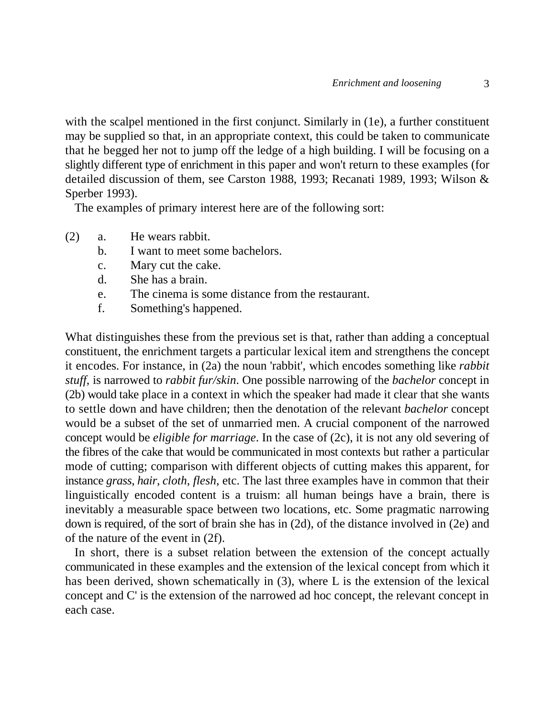with the scalpel mentioned in the first conjunct. Similarly in (1e), a further constituent may be supplied so that, in an appropriate context, this could be taken to communicate that he begged her not to jump off the ledge of a high building. I will be focusing on a slightly different type of enrichment in this paper and won't return to these examples (for detailed discussion of them, see Carston 1988, 1993; Recanati 1989, 1993; Wilson & Sperber 1993).

The examples of primary interest here are of the following sort:

- (2) a. He wears rabbit.
	- b. I want to meet some bachelors.
	- c. Mary cut the cake.
	- d. She has a brain.
	- e. The cinema is some distance from the restaurant.
	- f. Something's happened.

What distinguishes these from the previous set is that, rather than adding a conceptual constituent, the enrichment targets a particular lexical item and strengthens the concept it encodes. For instance, in (2a) the noun 'rabbit', which encodes something like *rabbit stuff*, is narrowed to *rabbit fur/skin*. One possible narrowing of the *bachelor* concept in (2b) would take place in a context in which the speaker had made it clear that she wants to settle down and have children; then the denotation of the relevant *bachelor* concept would be a subset of the set of unmarried men. A crucial component of the narrowed concept would be *eligible for marriage*. In the case of (2c), it is not any old severing of the fibres of the cake that would be communicated in most contexts but rather a particular mode of cutting; comparison with different objects of cutting makes this apparent, for instance *grass*, *hair*, *cloth*, *flesh*, etc. The last three examples have in common that their linguistically encoded content is a truism: all human beings have a brain, there is inevitably a measurable space between two locations, etc. Some pragmatic narrowing down is required, of the sort of brain she has in (2d), of the distance involved in (2e) and of the nature of the event in (2f).

In short, there is a subset relation between the extension of the concept actually communicated in these examples and the extension of the lexical concept from which it has been derived, shown schematically in (3), where L is the extension of the lexical concept and C' is the extension of the narrowed ad hoc concept, the relevant concept in each case.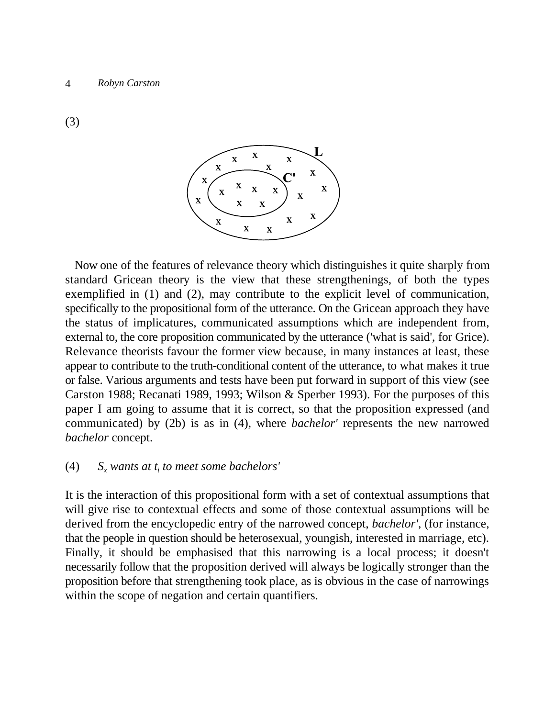(3)



Now one of the features of relevance theory which distinguishes it quite sharply from standard Gricean theory is the view that these strengthenings, of both the types exemplified in (1) and (2), may contribute to the explicit level of communication, specifically to the propositional form of the utterance. On the Gricean approach they have the status of implicatures, communicated assumptions which are independent from, external to, the core proposition communicated by the utterance ('what is said', for Grice). Relevance theorists favour the former view because, in many instances at least, these appear to contribute to the truth-conditional content of the utterance, to what makes it true or false. Various arguments and tests have been put forward in support of this view (see Carston 1988; Recanati 1989, 1993; Wilson & Sperber 1993). For the purposes of this paper I am going to assume that it is correct, so that the proposition expressed (and communicated) by (2b) is as in (4), where *bachelor'* represents the new narrowed *bachelor* concept.

# (4)  $S_x$  wants at  $t_i$  to meet some bachelors'

It is the interaction of this propositional form with a set of contextual assumptions that will give rise to contextual effects and some of those contextual assumptions will be derived from the encyclopedic entry of the narrowed concept, *bachelor'*, (for instance, that the people in question should be heterosexual, youngish, interested in marriage, etc). Finally, it should be emphasised that this narrowing is a local process; it doesn't necessarily follow that the proposition derived will always be logically stronger than the proposition before that strengthening took place, as is obvious in the case of narrowings within the scope of negation and certain quantifiers.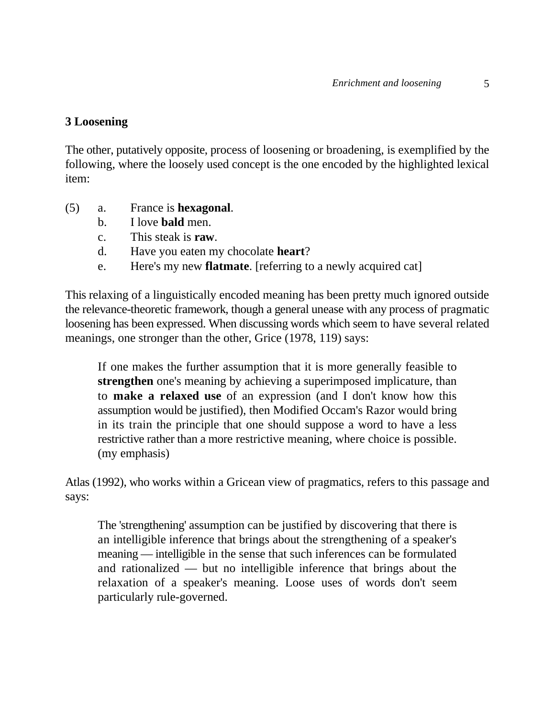# **3 Loosening**

The other, putatively opposite, process of loosening or broadening, is exemplified by the following, where the loosely used concept is the one encoded by the highlighted lexical item:

- (5) a. France is **hexagonal**.
	- b. I love **bald** men.
	- c. This steak is **raw**.
	- d. Have you eaten my chocolate **heart**?
	- e. Here's my new **flatmate**. [referring to a newly acquired cat]

This relaxing of a linguistically encoded meaning has been pretty much ignored outside the relevance-theoretic framework, though a general unease with any process of pragmatic loosening has been expressed. When discussing words which seem to have several related meanings, one stronger than the other, Grice (1978, 119) says:

If one makes the further assumption that it is more generally feasible to **strengthen** one's meaning by achieving a superimposed implicature, than to **make a relaxed use** of an expression (and I don't know how this assumption would be justified), then Modified Occam's Razor would bring in its train the principle that one should suppose a word to have a less restrictive rather than a more restrictive meaning, where choice is possible. (my emphasis)

Atlas (1992), who works within a Gricean view of pragmatics, refers to this passage and says:

The 'strengthening' assumption can be justified by discovering that there is an intelligible inference that brings about the strengthening of a speaker's meaning — intelligible in the sense that such inferences can be formulated and rationalized — but no intelligible inference that brings about the relaxation of a speaker's meaning. Loose uses of words don't seem particularly rule-governed.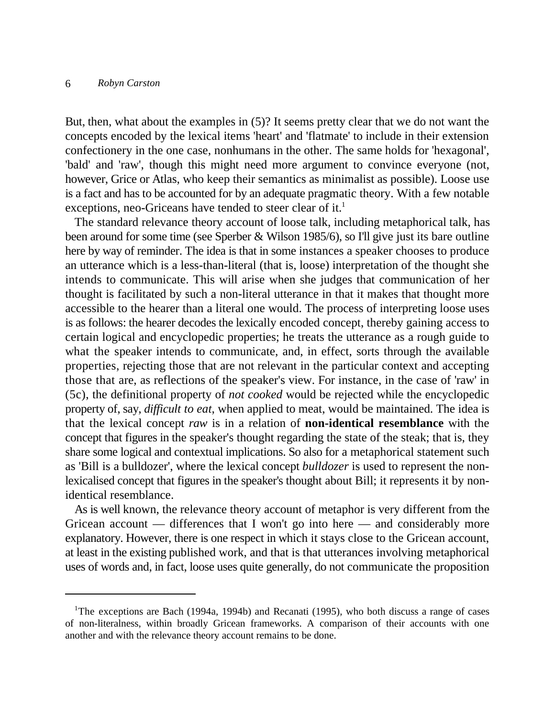But, then, what about the examples in (5)? It seems pretty clear that we do not want the concepts encoded by the lexical items 'heart' and 'flatmate' to include in their extension confectionery in the one case, nonhumans in the other. The same holds for 'hexagonal', 'bald' and 'raw', though this might need more argument to convince everyone (not, however, Grice or Atlas, who keep their semantics as minimalist as possible). Loose use is a fact and has to be accounted for by an adequate pragmatic theory. With a few notable exceptions, neo-Griceans have tended to steer clear of it.<sup>1</sup>

The standard relevance theory account of loose talk, including metaphorical talk, has been around for some time (see Sperber & Wilson 1985/6), so I'll give just its bare outline here by way of reminder. The idea is that in some instances a speaker chooses to produce an utterance which is a less-than-literal (that is, loose) interpretation of the thought she intends to communicate. This will arise when she judges that communication of her thought is facilitated by such a non-literal utterance in that it makes that thought more accessible to the hearer than a literal one would. The process of interpreting loose uses is as follows: the hearer decodes the lexically encoded concept, thereby gaining access to certain logical and encyclopedic properties; he treats the utterance as a rough guide to what the speaker intends to communicate, and, in effect, sorts through the available properties, rejecting those that are not relevant in the particular context and accepting those that are, as reflections of the speaker's view. For instance, in the case of 'raw' in (5c), the definitional property of *not cooked* would be rejected while the encyclopedic property of, say, *difficult to eat*, when applied to meat, would be maintained. The idea is that the lexical concept *raw* is in a relation of **non-identical resemblance** with the concept that figures in the speaker's thought regarding the state of the steak; that is, they share some logical and contextual implications. So also for a metaphorical statement such as 'Bill is a bulldozer', where the lexical concept *bulldozer* is used to represent the nonlexicalised concept that figures in the speaker's thought about Bill; it represents it by nonidentical resemblance.

As is well known, the relevance theory account of metaphor is very different from the Gricean account — differences that I won't go into here — and considerably more explanatory. However, there is one respect in which it stays close to the Gricean account, at least in the existing published work, and that is that utterances involving metaphorical uses of words and, in fact, loose uses quite generally, do not communicate the proposition

<sup>&</sup>lt;sup>1</sup>The exceptions are Bach (1994a, 1994b) and Recanati (1995), who both discuss a range of cases of non-literalness, within broadly Gricean frameworks. A comparison of their accounts with one another and with the relevance theory account remains to be done.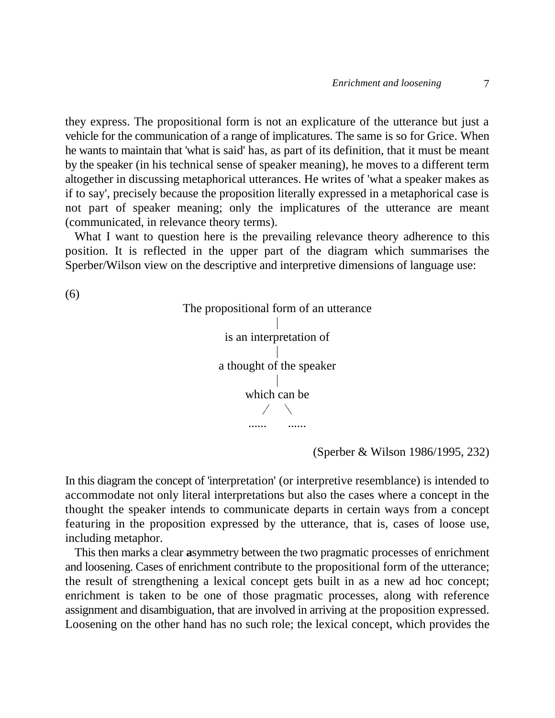they express. The propositional form is not an explicature of the utterance but just a vehicle for the communication of a range of implicatures. The same is so for Grice. When he wants to maintain that 'what is said' has, as part of its definition, that it must be meant by the speaker (in his technical sense of speaker meaning), he moves to a different term altogether in discussing metaphorical utterances. He writes of 'what a speaker makes as if to say', precisely because the proposition literally expressed in a metaphorical case is not part of speaker meaning; only the implicatures of the utterance are meant (communicated, in relevance theory terms).

What I want to question here is the prevailing relevance theory adherence to this position. It is reflected in the upper part of the diagram which summarises the Sperber/Wilson view on the descriptive and interpretive dimensions of language use:

(6)



(Sperber & Wilson 1986/1995, 232)

In this diagram the concept of 'interpretation' (or interpretive resemblance) is intended to accommodate not only literal interpretations but also the cases where a concept in the thought the speaker intends to communicate departs in certain ways from a concept featuring in the proposition expressed by the utterance, that is, cases of loose use, including metaphor.

This then marks a clear **a**symmetry between the two pragmatic processes of enrichment and loosening. Cases of enrichment contribute to the propositional form of the utterance; the result of strengthening a lexical concept gets built in as a new ad hoc concept; enrichment is taken to be one of those pragmatic processes, along with reference assignment and disambiguation, that are involved in arriving at the proposition expressed. Loosening on the other hand has no such role; the lexical concept, which provides the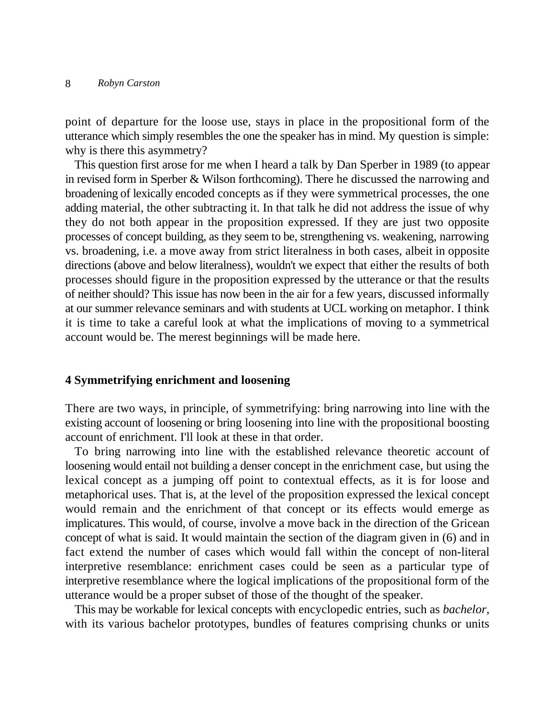point of departure for the loose use, stays in place in the propositional form of the utterance which simply resembles the one the speaker has in mind. My question is simple: why is there this asymmetry?

This question first arose for me when I heard a talk by Dan Sperber in 1989 (to appear in revised form in Sperber & Wilson forthcoming). There he discussed the narrowing and broadening of lexically encoded concepts as if they were symmetrical processes, the one adding material, the other subtracting it. In that talk he did not address the issue of why they do not both appear in the proposition expressed. If they are just two opposite processes of concept building, as they seem to be, strengthening vs. weakening, narrowing vs. broadening, i.e. a move away from strict literalness in both cases, albeit in opposite directions (above and below literalness), wouldn't we expect that either the results of both processes should figure in the proposition expressed by the utterance or that the results of neither should? This issue has now been in the air for a few years, discussed informally at our summer relevance seminars and with students at UCL working on metaphor. I think it is time to take a careful look at what the implications of moving to a symmetrical account would be. The merest beginnings will be made here.

## **4 Symmetrifying enrichment and loosening**

There are two ways, in principle, of symmetrifying: bring narrowing into line with the existing account of loosening or bring loosening into line with the propositional boosting account of enrichment. I'll look at these in that order.

To bring narrowing into line with the established relevance theoretic account of loosening would entail not building a denser concept in the enrichment case, but using the lexical concept as a jumping off point to contextual effects, as it is for loose and metaphorical uses. That is, at the level of the proposition expressed the lexical concept would remain and the enrichment of that concept or its effects would emerge as implicatures. This would, of course, involve a move back in the direction of the Gricean concept of what is said. It would maintain the section of the diagram given in (6) and in fact extend the number of cases which would fall within the concept of non-literal interpretive resemblance: enrichment cases could be seen as a particular type of interpretive resemblance where the logical implications of the propositional form of the utterance would be a proper subset of those of the thought of the speaker.

This may be workable for lexical concepts with encyclopedic entries, such as *bachelor*, with its various bachelor prototypes, bundles of features comprising chunks or units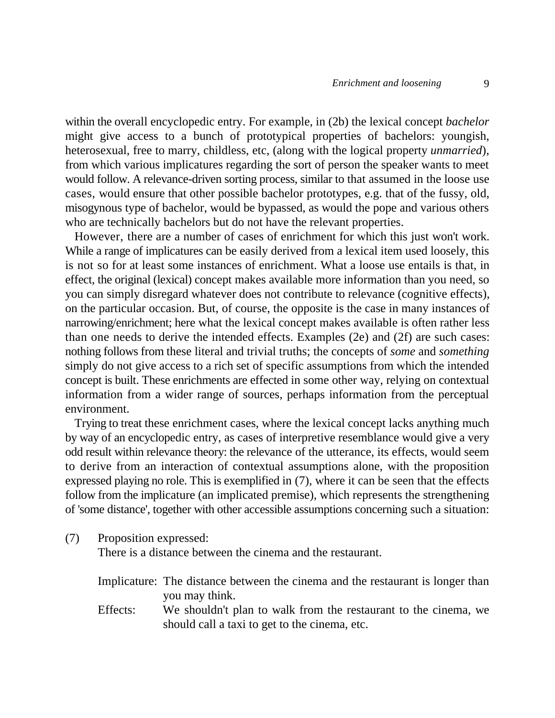within the overall encyclopedic entry. For example, in (2b) the lexical concept *bachelor* might give access to a bunch of prototypical properties of bachelors: youngish, heterosexual, free to marry, childless, etc, (along with the logical property *unmarried*), from which various implicatures regarding the sort of person the speaker wants to meet would follow. A relevance-driven sorting process, similar to that assumed in the loose use cases, would ensure that other possible bachelor prototypes, e.g. that of the fussy, old, misogynous type of bachelor, would be bypassed, as would the pope and various others who are technically bachelors but do not have the relevant properties.

However, there are a number of cases of enrichment for which this just won't work. While a range of implicatures can be easily derived from a lexical item used loosely, this is not so for at least some instances of enrichment. What a loose use entails is that, in effect, the original (lexical) concept makes available more information than you need, so you can simply disregard whatever does not contribute to relevance (cognitive effects), on the particular occasion. But, of course, the opposite is the case in many instances of narrowing/enrichment; here what the lexical concept makes available is often rather less than one needs to derive the intended effects. Examples (2e) and (2f) are such cases: nothing follows from these literal and trivial truths; the concepts of *some* and *something* simply do not give access to a rich set of specific assumptions from which the intended concept is built. These enrichments are effected in some other way, relying on contextual information from a wider range of sources, perhaps information from the perceptual environment.

Trying to treat these enrichment cases, where the lexical concept lacks anything much by way of an encyclopedic entry, as cases of interpretive resemblance would give a very odd result within relevance theory: the relevance of the utterance, its effects, would seem to derive from an interaction of contextual assumptions alone, with the proposition expressed playing no role. This is exemplified in (7), where it can be seen that the effects follow from the implicature (an implicated premise), which represents the strengthening of 'some distance', together with other accessible assumptions concerning such a situation:

(7) Proposition expressed:

There is a distance between the cinema and the restaurant.

| Implicature: The distance between the cinema and the restaurant is longer than |                |  |  |  |  |  |
|--------------------------------------------------------------------------------|----------------|--|--|--|--|--|
|                                                                                | you may think. |  |  |  |  |  |

Effects: We shouldn't plan to walk from the restaurant to the cinema, we should call a taxi to get to the cinema, etc.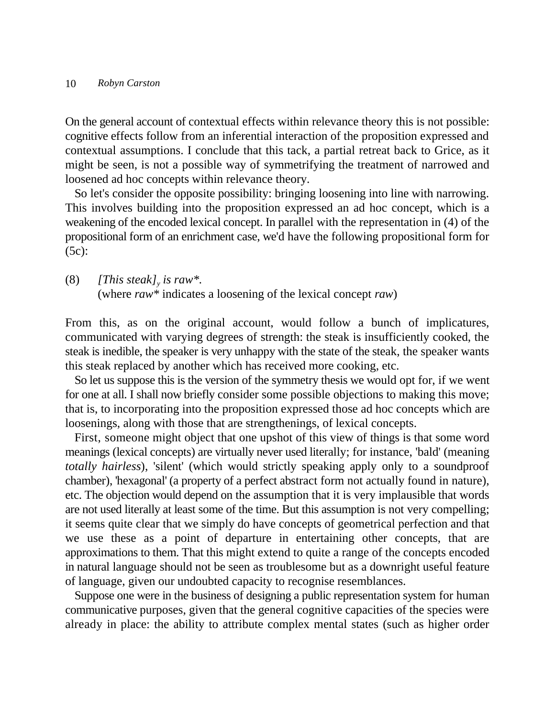On the general account of contextual effects within relevance theory this is not possible: cognitive effects follow from an inferential interaction of the proposition expressed and contextual assumptions. I conclude that this tack, a partial retreat back to Grice, as it might be seen, is not a possible way of symmetrifying the treatment of narrowed and loosened ad hoc concepts within relevance theory.

So let's consider the opposite possibility: bringing loosening into line with narrowing. This involves building into the proposition expressed an ad hoc concept, which is a weakening of the encoded lexical concept. In parallel with the representation in (4) of the propositional form of an enrichment case, we'd have the following propositional form for (5c):

(8) *[This steak]*, *is raw\*.* (where *raw\** indicates a loosening of the lexical concept *raw*)

From this, as on the original account, would follow a bunch of implicatures, communicated with varying degrees of strength: the steak is insufficiently cooked, the steak is inedible, the speaker is very unhappy with the state of the steak, the speaker wants this steak replaced by another which has received more cooking, etc.

So let us suppose this is the version of the symmetry thesis we would opt for, if we went for one at all. I shall now briefly consider some possible objections to making this move; that is, to incorporating into the proposition expressed those ad hoc concepts which are loosenings, along with those that are strengthenings, of lexical concepts.

First, someone might object that one upshot of this view of things is that some word meanings (lexical concepts) are virtually never used literally; for instance, 'bald' (meaning *totally hairless*), 'silent' (which would strictly speaking apply only to a soundproof chamber), 'hexagonal' (a property of a perfect abstract form not actually found in nature), etc. The objection would depend on the assumption that it is very implausible that words are not used literally at least some of the time. But this assumption is not very compelling; it seems quite clear that we simply do have concepts of geometrical perfection and that we use these as a point of departure in entertaining other concepts, that are approximations to them. That this might extend to quite a range of the concepts encoded in natural language should not be seen as troublesome but as a downright useful feature of language, given our undoubted capacity to recognise resemblances.

Suppose one were in the business of designing a public representation system for human communicative purposes, given that the general cognitive capacities of the species were already in place: the ability to attribute complex mental states (such as higher order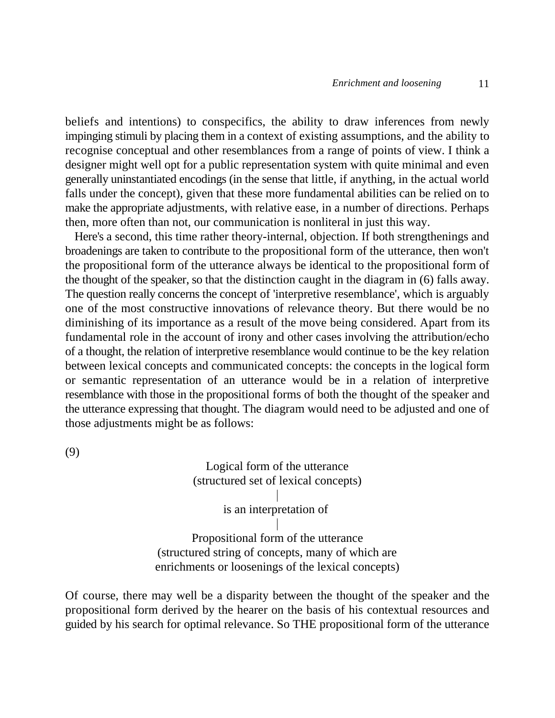beliefs and intentions) to conspecifics, the ability to draw inferences from newly impinging stimuli by placing them in a context of existing assumptions, and the ability to recognise conceptual and other resemblances from a range of points of view. I think a designer might well opt for a public representation system with quite minimal and even generally uninstantiated encodings (in the sense that little, if anything, in the actual world falls under the concept), given that these more fundamental abilities can be relied on to make the appropriate adjustments, with relative ease, in a number of directions. Perhaps then, more often than not, our communication is nonliteral in just this way.

Here's a second, this time rather theory-internal, objection. If both strengthenings and broadenings are taken to contribute to the propositional form of the utterance, then won't the propositional form of the utterance always be identical to the propositional form of the thought of the speaker, so that the distinction caught in the diagram in (6) falls away. The question really concerns the concept of 'interpretive resemblance', which is arguably one of the most constructive innovations of relevance theory. But there would be no diminishing of its importance as a result of the move being considered. Apart from its fundamental role in the account of irony and other cases involving the attribution/echo of a thought, the relation of interpretive resemblance would continue to be the key relation between lexical concepts and communicated concepts: the concepts in the logical form or semantic representation of an utterance would be in a relation of interpretive resemblance with those in the propositional forms of both the thought of the speaker and the utterance expressing that thought. The diagram would need to be adjusted and one of those adjustments might be as follows:

(9)

Logical form of the utterance (structured set of lexical concepts)

> $\overline{\phantom{a}}$ is an interpretation of  $\overline{\phantom{a}}$

Propositional form of the utterance (structured string of concepts, many of which are enrichments or loosenings of the lexical concepts)

Of course, there may well be a disparity between the thought of the speaker and the propositional form derived by the hearer on the basis of his contextual resources and guided by his search for optimal relevance. So THE propositional form of the utterance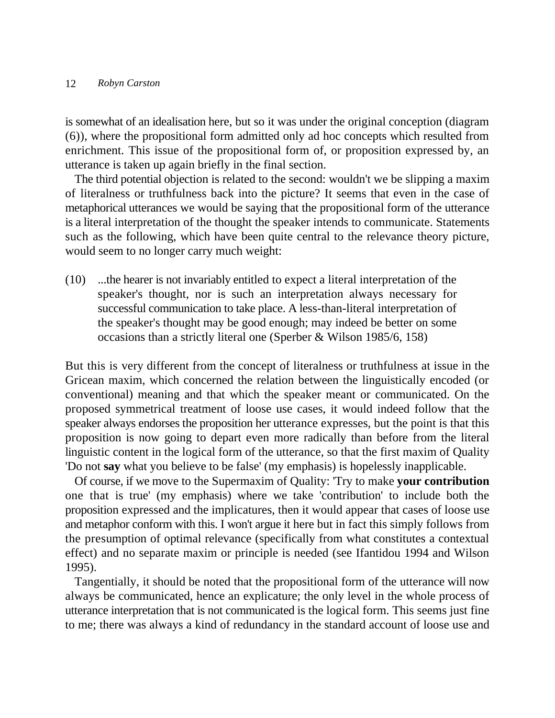is somewhat of an idealisation here, but so it was under the original conception (diagram (6)), where the propositional form admitted only ad hoc concepts which resulted from enrichment. This issue of the propositional form of, or proposition expressed by, an utterance is taken up again briefly in the final section.

The third potential objection is related to the second: wouldn't we be slipping a maxim of literalness or truthfulness back into the picture? It seems that even in the case of metaphorical utterances we would be saying that the propositional form of the utterance is a literal interpretation of the thought the speaker intends to communicate. Statements such as the following, which have been quite central to the relevance theory picture, would seem to no longer carry much weight:

(10) ...the hearer is not invariably entitled to expect a literal interpretation of the speaker's thought, nor is such an interpretation always necessary for successful communication to take place. A less-than-literal interpretation of the speaker's thought may be good enough; may indeed be better on some occasions than a strictly literal one (Sperber & Wilson 1985/6, 158)

But this is very different from the concept of literalness or truthfulness at issue in the Gricean maxim, which concerned the relation between the linguistically encoded (or conventional) meaning and that which the speaker meant or communicated. On the proposed symmetrical treatment of loose use cases, it would indeed follow that the speaker always endorses the proposition her utterance expresses, but the point is that this proposition is now going to depart even more radically than before from the literal linguistic content in the logical form of the utterance, so that the first maxim of Quality 'Do not **say** what you believe to be false' (my emphasis) is hopelessly inapplicable.

Of course, if we move to the Supermaxim of Quality: 'Try to make **your contribution** one that is true' (my emphasis) where we take 'contribution' to include both the proposition expressed and the implicatures, then it would appear that cases of loose use and metaphor conform with this. I won't argue it here but in fact this simply follows from the presumption of optimal relevance (specifically from what constitutes a contextual effect) and no separate maxim or principle is needed (see Ifantidou 1994 and Wilson 1995).

Tangentially, it should be noted that the propositional form of the utterance will now always be communicated, hence an explicature; the only level in the whole process of utterance interpretation that is not communicated is the logical form. This seems just fine to me; there was always a kind of redundancy in the standard account of loose use and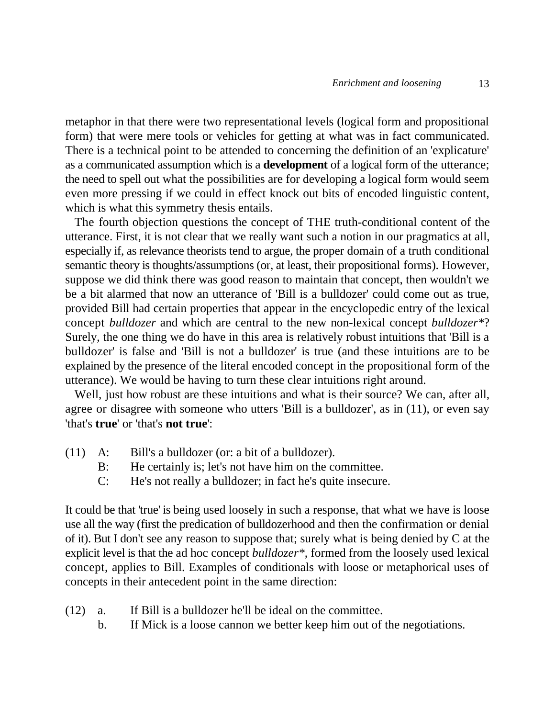metaphor in that there were two representational levels (logical form and propositional form) that were mere tools or vehicles for getting at what was in fact communicated. There is a technical point to be attended to concerning the definition of an 'explicature' as a communicated assumption which is a **development** of a logical form of the utterance; the need to spell out what the possibilities are for developing a logical form would seem even more pressing if we could in effect knock out bits of encoded linguistic content, which is what this symmetry thesis entails.

The fourth objection questions the concept of THE truth-conditional content of the utterance. First, it is not clear that we really want such a notion in our pragmatics at all, especially if, as relevance theorists tend to argue, the proper domain of a truth conditional semantic theory is thoughts/assumptions (or, at least, their propositional forms). However, suppose we did think there was good reason to maintain that concept, then wouldn't we be a bit alarmed that now an utterance of 'Bill is a bulldozer' could come out as true, provided Bill had certain properties that appear in the encyclopedic entry of the lexical concept *bulldozer* and which are central to the new non-lexical concept *bulldozer\**? Surely, the one thing we do have in this area is relatively robust intuitions that 'Bill is a bulldozer' is false and 'Bill is not a bulldozer' is true (and these intuitions are to be explained by the presence of the literal encoded concept in the propositional form of the utterance). We would be having to turn these clear intuitions right around.

Well, just how robust are these intuitions and what is their source? We can, after all, agree or disagree with someone who utters 'Bill is a bulldozer', as in (11), or even say 'that's **true**' or 'that's **not true**':

- (11) A: Bill's a bulldozer (or: a bit of a bulldozer).
	- B: He certainly is; let's not have him on the committee.
	- C: He's not really a bulldozer; in fact he's quite insecure.

It could be that 'true' is being used loosely in such a response, that what we have is loose use all the way (first the predication of bulldozerhood and then the confirmation or denial of it). But I don't see any reason to suppose that; surely what is being denied by C at the explicit level is that the ad hoc concept *bulldozer\**, formed from the loosely used lexical concept, applies to Bill. Examples of conditionals with loose or metaphorical uses of concepts in their antecedent point in the same direction:

- (12) a. If Bill is a bulldozer he'll be ideal on the committee.
	- b. If Mick is a loose cannon we better keep him out of the negotiations.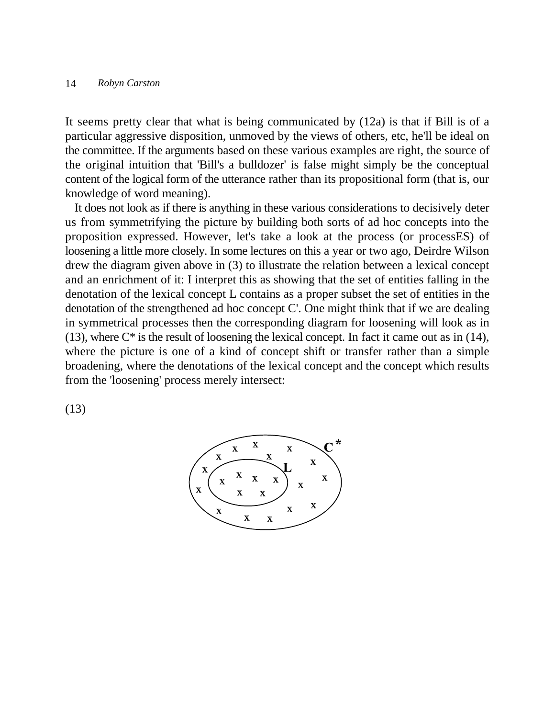It seems pretty clear that what is being communicated by (12a) is that if Bill is of a particular aggressive disposition, unmoved by the views of others, etc, he'll be ideal on the committee. If the arguments based on these various examples are right, the source of the original intuition that 'Bill's a bulldozer' is false might simply be the conceptual content of the logical form of the utterance rather than its propositional form (that is, our knowledge of word meaning).

It does not look as if there is anything in these various considerations to decisively deter us from symmetrifying the picture by building both sorts of ad hoc concepts into the proposition expressed. However, let's take a look at the process (or processES) of loosening a little more closely. In some lectures on this a year or two ago, Deirdre Wilson drew the diagram given above in (3) to illustrate the relation between a lexical concept and an enrichment of it: I interpret this as showing that the set of entities falling in the denotation of the lexical concept L contains as a proper subset the set of entities in the denotation of the strengthened ad hoc concept C'. One might think that if we are dealing in symmetrical processes then the corresponding diagram for loosening will look as in (13), where  $C^*$  is the result of loosening the lexical concept. In fact it came out as in (14), where the picture is one of a kind of concept shift or transfer rather than a simple broadening, where the denotations of the lexical concept and the concept which results from the 'loosening' process merely intersect:

(13)

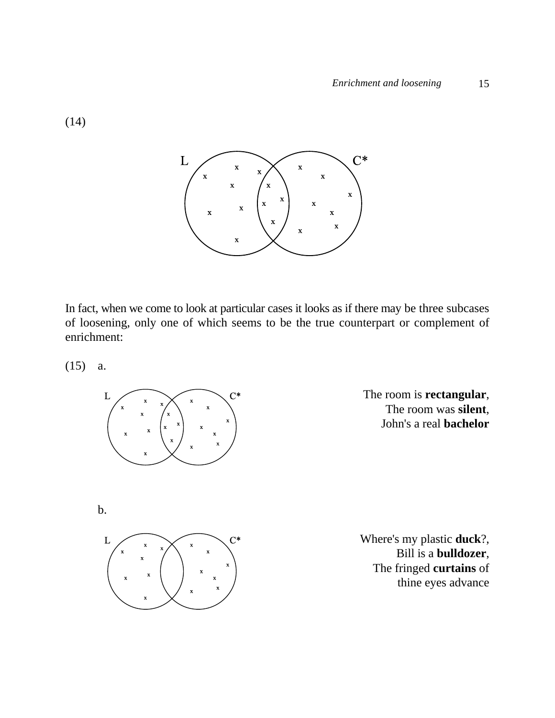

In fact, when we come to look at particular cases it looks as if there may be three subcases of loosening, only one of which seems to be the true counterpart or complement of enrichment:

(15) a.



The room is **rectangular**, The room was **silent**, John's a real **bachelor**

b.



Where's my plastic **duck**?, Bill is a **bulldozer**, The fringed **curtains** of thine eyes advance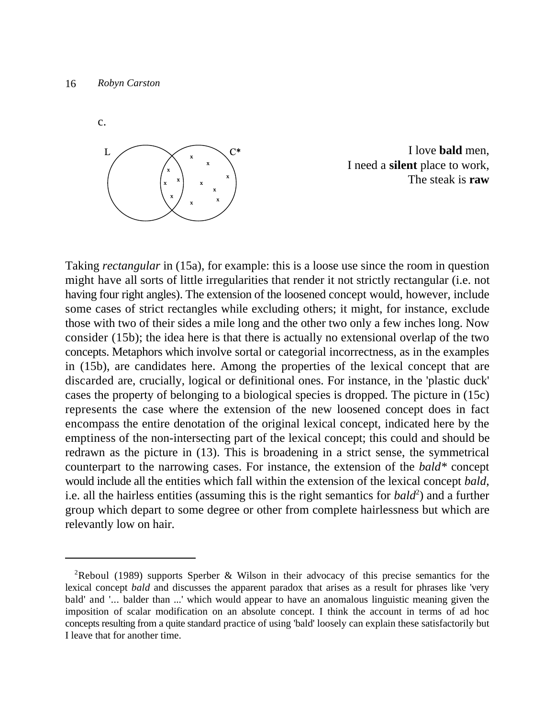c.



I love **bald** men, I need a **silent** place to work, The steak is **raw**

Taking *rectangular* in (15a), for example: this is a loose use since the room in question might have all sorts of little irregularities that render it not strictly rectangular (i.e. not having four right angles). The extension of the loosened concept would, however, include some cases of strict rectangles while excluding others; it might, for instance, exclude those with two of their sides a mile long and the other two only a few inches long. Now consider (15b); the idea here is that there is actually no extensional overlap of the two concepts. Metaphors which involve sortal or categorial incorrectness, as in the examples in (15b), are candidates here. Among the properties of the lexical concept that are discarded are, crucially, logical or definitional ones. For instance, in the 'plastic duck' cases the property of belonging to a biological species is dropped. The picture in (15c) represents the case where the extension of the new loosened concept does in fact encompass the entire denotation of the original lexical concept, indicated here by the emptiness of the non-intersecting part of the lexical concept; this could and should be redrawn as the picture in (13). This is broadening in a strict sense, the symmetrical counterpart to the narrowing cases. For instance, the extension of the *bald\** concept would include all the entities which fall within the extension of the lexical concept *bald*, i.e. all the hairless entities (assuming this is the right semantics for  $bald^2$ ) and a further group which depart to some degree or other from complete hairlessness but which are relevantly low on hair.

<sup>&</sup>lt;sup>2</sup>Reboul (1989) supports Sperber & Wilson in their advocacy of this precise semantics for the lexical concept *bald* and discusses the apparent paradox that arises as a result for phrases like 'very bald' and '... balder than ...' which would appear to have an anomalous linguistic meaning given the imposition of scalar modification on an absolute concept. I think the account in terms of ad hoc concepts resulting from a quite standard practice of using 'bald' loosely can explain these satisfactorily but I leave that for another time.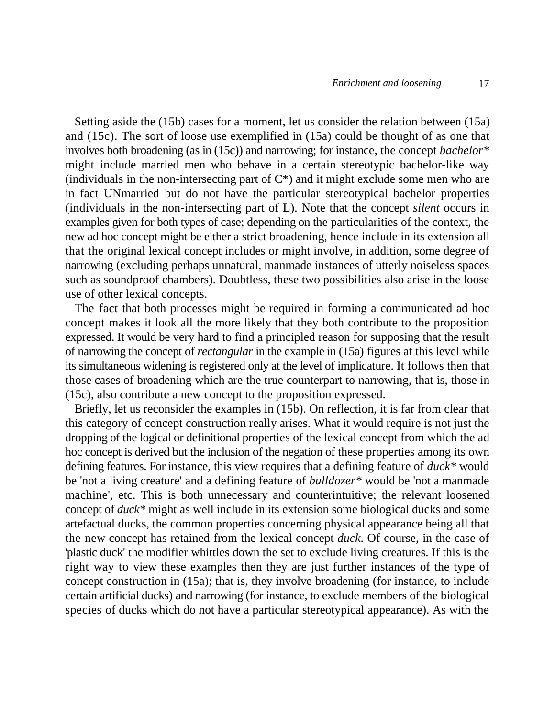Setting aside the (15b) cases for a moment, let us consider the relation between (15a) and (15c). The sort of loose use exemplified in (15a) could be thought of as one that involves both broadening (as in (15c)) and narrowing; for instance, the concept *bachelor\** might include married men who behave in a certain stereotypic bachelor-like way (individuals in the non-intersecting part of  $C^*$ ) and it might exclude some men who are in fact UNmarried but do not have the particular stereotypical bachelor properties (individuals in the non-intersecting part of L). Note that the concept *silent* occurs in examples given for both types of case; depending on the particularities of the context, the new ad hoc concept might be either a strict broadening, hence include in its extension all that the original lexical concept includes or might involve, in addition, some degree of narrowing (excluding perhaps unnatural, manmade instances of utterly noiseless spaces such as soundproof chambers). Doubtless, these two possibilities also arise in the loose use of other lexical concepts.

The fact that both processes might be required in forming a communicated ad hoc concept makes it look all the more likely that they both contribute to the proposition expressed. It would be very hard to find a principled reason for supposing that the result of narrowing the concept of *rectangular* in the example in (15a) figures at this level while its simultaneous widening is registered only at the level of implicature. It follows then that those cases of broadening which are the true counterpart to narrowing, that is, those in (15c), also contribute a new concept to the proposition expressed.

Briefly, let us reconsider the examples in (15b). On reflection, it is far from clear that this category of concept construction really arises. What it would require is not just the dropping of the logical or definitional properties of the lexical concept from which the ad hoc concept is derived but the inclusion of the negation of these properties among its own defining features. For instance, this view requires that a defining feature of *duck\** would be 'not a living creature' and a defining feature of *bulldozer\** would be 'not a manmade machine', etc. This is both unnecessary and counterintuitive; the relevant loosened concept of *duck\** might as well include in its extension some biological ducks and some artefactual ducks, the common properties concerning physical appearance being all that the new concept has retained from the lexical concept *duck*. Of course, in the case of 'plastic duck' the modifier whittles down the set to exclude living creatures. If this is the right way to view these examples then they are just further instances of the type of concept construction in (15a); that is, they involve broadening (for instance, to include certain artificial ducks) and narrowing (for instance, to exclude members of the biological species of ducks which do not have a particular stereotypical appearance). As with the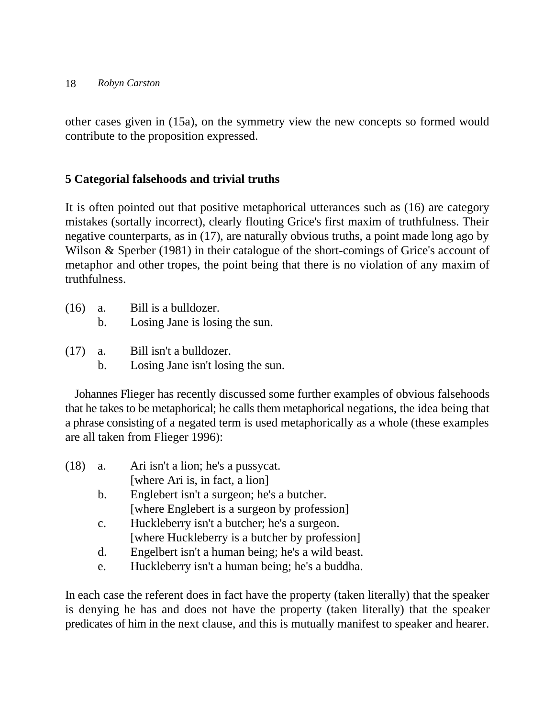other cases given in (15a), on the symmetry view the new concepts so formed would contribute to the proposition expressed.

# **5 Categorial falsehoods and trivial truths**

It is often pointed out that positive metaphorical utterances such as (16) are category mistakes (sortally incorrect), clearly flouting Grice's first maxim of truthfulness. Their negative counterparts, as in (17), are naturally obvious truths, a point made long ago by Wilson & Sperber (1981) in their catalogue of the short-comings of Grice's account of metaphor and other tropes, the point being that there is no violation of any maxim of truthfulness.

- (16) a. Bill is a bulldozer.
	- b. Losing Jane is losing the sun.
- (17) a. Bill isn't a bulldozer.
	- b. Losing Jane isn't losing the sun.

Johannes Flieger has recently discussed some further examples of obvious falsehoods that he takes to be metaphorical; he calls them metaphorical negations, the idea being that a phrase consisting of a negated term is used metaphorically as a whole (these examples are all taken from Flieger 1996):

| (18) | a.             | Ari isn't a lion; he's a pussycat.                |
|------|----------------|---------------------------------------------------|
|      |                | [where Ari is, in fact, a lion]                   |
|      | $\mathbf{b}$ . | Englebert isn't a surgeon; he's a butcher.        |
|      |                | [where Englebert is a surgeon by profession]      |
|      | $\mathbf{c}$ . | Huckleberry isn't a butcher; he's a surgeon.      |
|      |                | [where Huckleberry is a butcher by profession]    |
|      | d.             | Engelbert isn't a human being; he's a wild beast. |
|      | e.             | Huckleberry isn't a human being; he's a buddha.   |
|      |                |                                                   |

In each case the referent does in fact have the property (taken literally) that the speaker is denying he has and does not have the property (taken literally) that the speaker predicates of him in the next clause, and this is mutually manifest to speaker and hearer.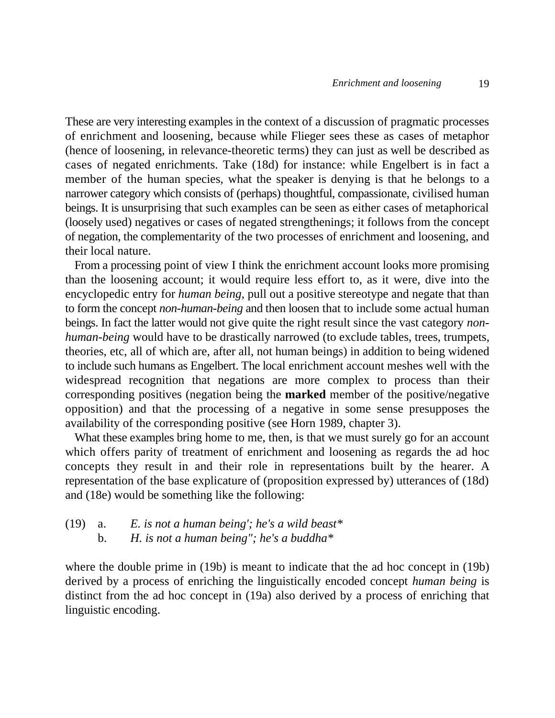These are very interesting examples in the context of a discussion of pragmatic processes of enrichment and loosening, because while Flieger sees these as cases of metaphor (hence of loosening, in relevance-theoretic terms) they can just as well be described as cases of negated enrichments. Take (18d) for instance: while Engelbert is in fact a member of the human species, what the speaker is denying is that he belongs to a narrower category which consists of (perhaps) thoughtful, compassionate, civilised human beings. It is unsurprising that such examples can be seen as either cases of metaphorical (loosely used) negatives or cases of negated strengthenings; it follows from the concept of negation, the complementarity of the two processes of enrichment and loosening, and their local nature.

From a processing point of view I think the enrichment account looks more promising than the loosening account; it would require less effort to, as it were, dive into the encyclopedic entry for *human being*, pull out a positive stereotype and negate that than to form the concept *non-human-being* and then loosen that to include some actual human beings. In fact the latter would not give quite the right result since the vast category *nonhuman-being* would have to be drastically narrowed (to exclude tables, trees, trumpets, theories, etc, all of which are, after all, not human beings) in addition to being widened to include such humans as Engelbert. The local enrichment account meshes well with the widespread recognition that negations are more complex to process than their corresponding positives (negation being the **marked** member of the positive/negative opposition) and that the processing of a negative in some sense presupposes the availability of the corresponding positive (see Horn 1989, chapter 3).

What these examples bring home to me, then, is that we must surely go for an account which offers parity of treatment of enrichment and loosening as regards the ad hoc concepts they result in and their role in representations built by the hearer. A representation of the base explicature of (proposition expressed by) utterances of (18d) and (18e) would be something like the following:

(19) a. *E. is not a human being'; he's a wild beast\** b. *H. is not a human being"; he's a buddha\**

where the double prime in (19b) is meant to indicate that the ad hoc concept in (19b) derived by a process of enriching the linguistically encoded concept *human being* is distinct from the ad hoc concept in (19a) also derived by a process of enriching that linguistic encoding.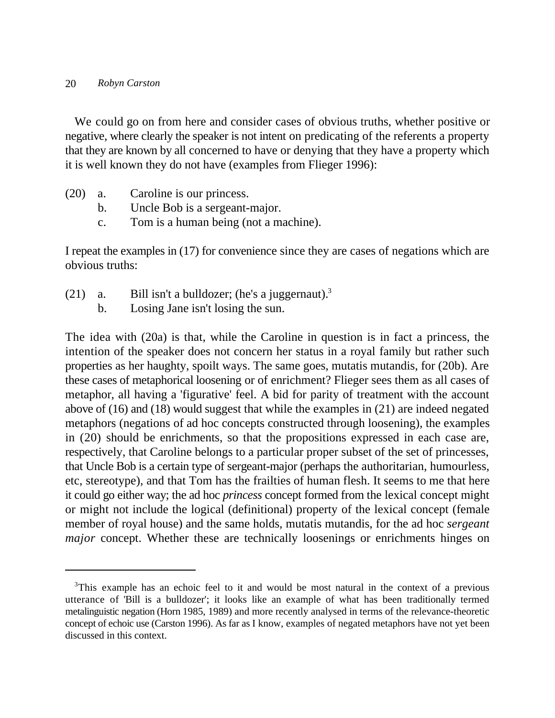We could go on from here and consider cases of obvious truths, whether positive or negative, where clearly the speaker is not intent on predicating of the referents a property that they are known by all concerned to have or denying that they have a property which it is well known they do not have (examples from Flieger 1996):

- (20) a. Caroline is our princess.
	- b. Uncle Bob is a sergeant-major.
	- c. Tom is a human being (not a machine).

I repeat the examples in (17) for convenience since they are cases of negations which are obvious truths:

- (21) a. Bill isn't a bulldozer; (he's a juggernaut).<sup>3</sup>
	- b. Losing Jane isn't losing the sun.

The idea with (20a) is that, while the Caroline in question is in fact a princess, the intention of the speaker does not concern her status in a royal family but rather such properties as her haughty, spoilt ways. The same goes, mutatis mutandis, for (20b). Are these cases of metaphorical loosening or of enrichment? Flieger sees them as all cases of metaphor, all having a 'figurative' feel. A bid for parity of treatment with the account above of (16) and (18) would suggest that while the examples in (21) are indeed negated metaphors (negations of ad hoc concepts constructed through loosening), the examples in (20) should be enrichments, so that the propositions expressed in each case are, respectively, that Caroline belongs to a particular proper subset of the set of princesses, that Uncle Bob is a certain type of sergeant-major (perhaps the authoritarian, humourless, etc, stereotype), and that Tom has the frailties of human flesh. It seems to me that here it could go either way; the ad hoc *princess* concept formed from the lexical concept might or might not include the logical (definitional) property of the lexical concept (female member of royal house) and the same holds, mutatis mutandis, for the ad hoc *sergeant major* concept. Whether these are technically loosenings or enrichments hinges on

<sup>&</sup>lt;sup>3</sup>This example has an echoic feel to it and would be most natural in the context of a previous utterance of 'Bill is a bulldozer'; it looks like an example of what has been traditionally termed metalinguistic negation (Horn 1985, 1989) and more recently analysed in terms of the relevance-theoretic concept of echoic use (Carston 1996). As far as I know, examples of negated metaphors have not yet been discussed in this context.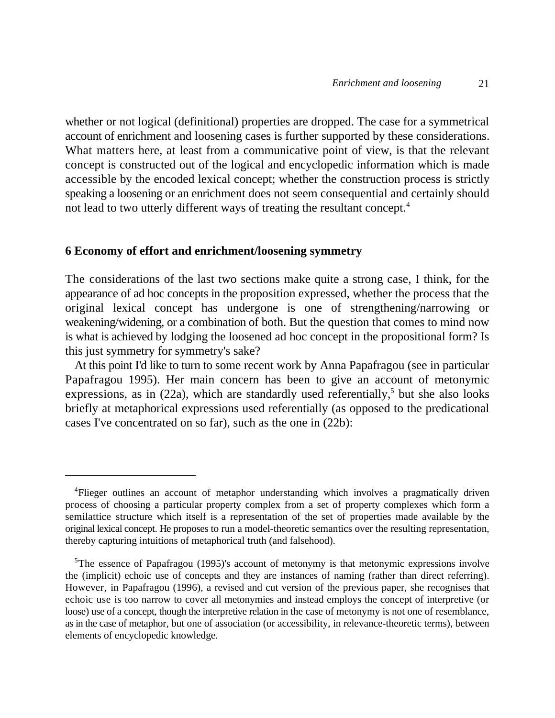whether or not logical (definitional) properties are dropped. The case for a symmetrical account of enrichment and loosening cases is further supported by these considerations. What matters here, at least from a communicative point of view, is that the relevant concept is constructed out of the logical and encyclopedic information which is made accessible by the encoded lexical concept; whether the construction process is strictly speaking a loosening or an enrichment does not seem consequential and certainly should not lead to two utterly different ways of treating the resultant concept.4

## **6 Economy of effort and enrichment/loosening symmetry**

The considerations of the last two sections make quite a strong case, I think, for the appearance of ad hoc concepts in the proposition expressed, whether the process that the original lexical concept has undergone is one of strengthening/narrowing or weakening/widening, or a combination of both. But the question that comes to mind now is what is achieved by lodging the loosened ad hoc concept in the propositional form? Is this just symmetry for symmetry's sake?

At this point I'd like to turn to some recent work by Anna Papafragou (see in particular Papafragou 1995). Her main concern has been to give an account of metonymic expressions, as in (22a), which are standardly used referentially,<sup>5</sup> but she also looks briefly at metaphorical expressions used referentially (as opposed to the predicational cases I've concentrated on so far), such as the one in (22b):

<sup>&</sup>lt;sup>4</sup>Flieger outlines an account of metaphor understanding which involves a pragmatically driven process of choosing a particular property complex from a set of property complexes which form a semilattice structure which itself is a representation of the set of properties made available by the original lexical concept. He proposes to run a model-theoretic semantics over the resulting representation, thereby capturing intuitions of metaphorical truth (and falsehood).

 $5$ The essence of Papafragou (1995)'s account of metonymy is that metonymic expressions involve the (implicit) echoic use of concepts and they are instances of naming (rather than direct referring). However, in Papafragou (1996), a revised and cut version of the previous paper, she recognises that echoic use is too narrow to cover all metonymies and instead employs the concept of interpretive (or loose) use of a concept, though the interpretive relation in the case of metonymy is not one of resemblance, as in the case of metaphor, but one of association (or accessibility, in relevance-theoretic terms), between elements of encyclopedic knowledge.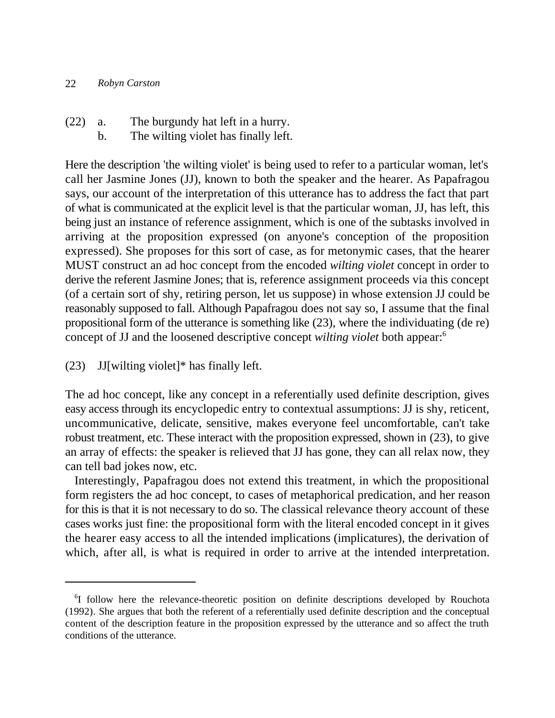- (22) a. The burgundy hat left in a hurry.
	- b. The wilting violet has finally left.

Here the description 'the wilting violet' is being used to refer to a particular woman, let's call her Jasmine Jones (JJ), known to both the speaker and the hearer. As Papafragou says, our account of the interpretation of this utterance has to address the fact that part of what is communicated at the explicit level is that the particular woman, JJ, has left, this being just an instance of reference assignment, which is one of the subtasks involved in arriving at the proposition expressed (on anyone's conception of the proposition expressed). She proposes for this sort of case, as for metonymic cases, that the hearer MUST construct an ad hoc concept from the encoded *wilting violet* concept in order to derive the referent Jasmine Jones; that is, reference assignment proceeds via this concept (of a certain sort of shy, retiring person, let us suppose) in whose extension JJ could be reasonably supposed to fall. Although Papafragou does not say so, I assume that the final propositional form of the utterance is something like (23), where the individuating (de re) concept of JJ and the loosened descriptive concept *wilting violet* both appear:6

(23) JJ[wilting violet]\* has finally left.

The ad hoc concept, like any concept in a referentially used definite description, gives easy access through its encyclopedic entry to contextual assumptions: JJ is shy, reticent, uncommunicative, delicate, sensitive, makes everyone feel uncomfortable, can't take robust treatment, etc. These interact with the proposition expressed, shown in (23), to give an array of effects: the speaker is relieved that JJ has gone, they can all relax now, they can tell bad jokes now, etc.

Interestingly, Papafragou does not extend this treatment, in which the propositional form registers the ad hoc concept, to cases of metaphorical predication, and her reason for this is that it is not necessary to do so. The classical relevance theory account of these cases works just fine: the propositional form with the literal encoded concept in it gives the hearer easy access to all the intended implications (implicatures), the derivation of which, after all, is what is required in order to arrive at the intended interpretation.

<sup>&</sup>lt;sup>6</sup>I follow here the relevance-theoretic position on definite descriptions developed by Rouchota (1992). She argues that both the referent of a referentially used definite description and the conceptual content of the description feature in the proposition expressed by the utterance and so affect the truth conditions of the utterance.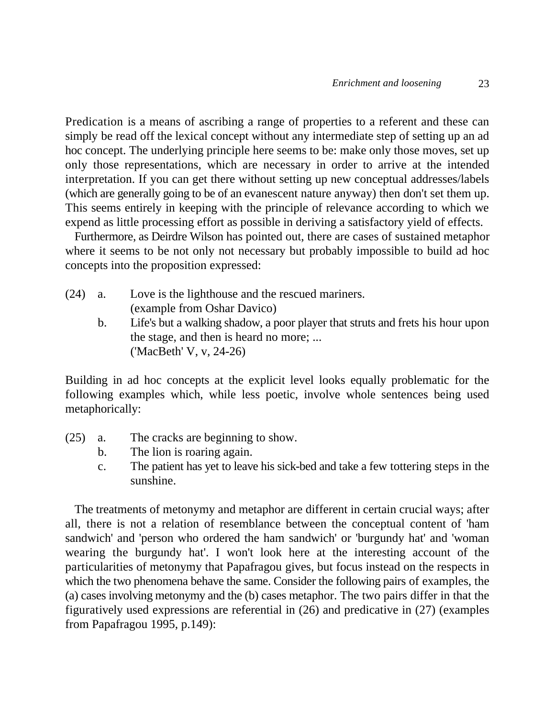Predication is a means of ascribing a range of properties to a referent and these can simply be read off the lexical concept without any intermediate step of setting up an ad hoc concept. The underlying principle here seems to be: make only those moves, set up only those representations, which are necessary in order to arrive at the intended interpretation. If you can get there without setting up new conceptual addresses/labels (which are generally going to be of an evanescent nature anyway) then don't set them up. This seems entirely in keeping with the principle of relevance according to which we expend as little processing effort as possible in deriving a satisfactory yield of effects.

Furthermore, as Deirdre Wilson has pointed out, there are cases of sustained metaphor where it seems to be not only not necessary but probably impossible to build ad hoc concepts into the proposition expressed:

| $(24)$ a. | Love is the lighthouse and the rescued mariners.       |
|-----------|--------------------------------------------------------|
|           | (example from Oshar Davico)                            |
|           | $I$ if algebra welling shedow a near player that strut |

b. Life's but a walking shadow, a poor player that struts and frets his hour upon the stage, and then is heard no more; ... ('MacBeth' V, v, 24-26)

Building in ad hoc concepts at the explicit level looks equally problematic for the following examples which, while less poetic, involve whole sentences being used metaphorically:

- (25) a. The cracks are beginning to show.
	- b. The lion is roaring again.
	- c. The patient has yet to leave his sick-bed and take a few tottering steps in the sunshine.

The treatments of metonymy and metaphor are different in certain crucial ways; after all, there is not a relation of resemblance between the conceptual content of 'ham sandwich' and 'person who ordered the ham sandwich' or 'burgundy hat' and 'woman wearing the burgundy hat'. I won't look here at the interesting account of the particularities of metonymy that Papafragou gives, but focus instead on the respects in which the two phenomena behave the same. Consider the following pairs of examples, the (a) cases involving metonymy and the (b) cases metaphor. The two pairs differ in that the figuratively used expressions are referential in (26) and predicative in (27) (examples from Papafragou 1995, p.149):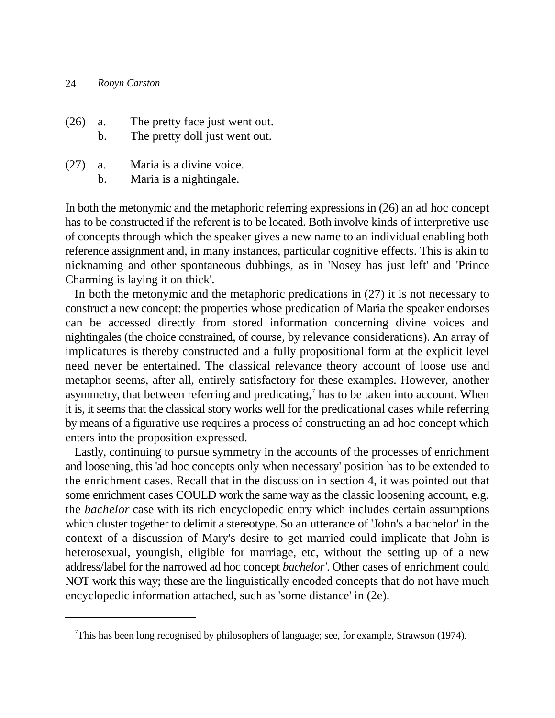| $(26)$ a. | $b_{\cdot}$ | The pretty face just went out.<br>The pretty doll just went out.      |
|-----------|-------------|-----------------------------------------------------------------------|
| (27)      |             | $\mathbf{M}$ . The state of $\mathbf{M}$ is the state of $\mathbf{M}$ |

(27) a. Maria is a divine voice.

b. Maria is a nightingale.

In both the metonymic and the metaphoric referring expressions in (26) an ad hoc concept has to be constructed if the referent is to be located. Both involve kinds of interpretive use of concepts through which the speaker gives a new name to an individual enabling both reference assignment and, in many instances, particular cognitive effects. This is akin to nicknaming and other spontaneous dubbings, as in 'Nosey has just left' and 'Prince Charming is laying it on thick'.

In both the metonymic and the metaphoric predications in (27) it is not necessary to construct a new concept: the properties whose predication of Maria the speaker endorses can be accessed directly from stored information concerning divine voices and nightingales (the choice constrained, of course, by relevance considerations). An array of implicatures is thereby constructed and a fully propositional form at the explicit level need never be entertained. The classical relevance theory account of loose use and metaphor seems, after all, entirely satisfactory for these examples. However, another asymmetry, that between referring and predicating, $<sup>7</sup>$  has to be taken into account. When</sup> it is, it seems that the classical story works well for the predicational cases while referring by means of a figurative use requires a process of constructing an ad hoc concept which enters into the proposition expressed.

Lastly, continuing to pursue symmetry in the accounts of the processes of enrichment and loosening, this 'ad hoc concepts only when necessary' position has to be extended to the enrichment cases. Recall that in the discussion in section 4, it was pointed out that some enrichment cases COULD work the same way as the classic loosening account, e.g. the *bachelor* case with its rich encyclopedic entry which includes certain assumptions which cluster together to delimit a stereotype. So an utterance of 'John's a bachelor' in the context of a discussion of Mary's desire to get married could implicate that John is heterosexual, youngish, eligible for marriage, etc, without the setting up of a new address/label for the narrowed ad hoc concept *bachelor'*. Other cases of enrichment could NOT work this way; these are the linguistically encoded concepts that do not have much encyclopedic information attached, such as 'some distance' in (2e).

<sup>&</sup>lt;sup>7</sup>This has been long recognised by philosophers of language; see, for example, Strawson (1974).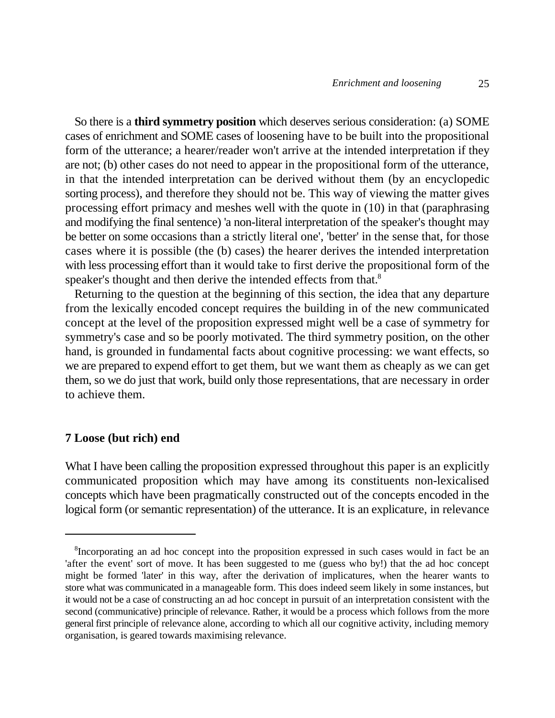So there is a **third symmetry position** which deserves serious consideration: (a) SOME cases of enrichment and SOME cases of loosening have to be built into the propositional form of the utterance; a hearer/reader won't arrive at the intended interpretation if they are not; (b) other cases do not need to appear in the propositional form of the utterance, in that the intended interpretation can be derived without them (by an encyclopedic sorting process), and therefore they should not be. This way of viewing the matter gives processing effort primacy and meshes well with the quote in (10) in that (paraphrasing and modifying the final sentence) 'a non-literal interpretation of the speaker's thought may be better on some occasions than a strictly literal one', 'better' in the sense that, for those cases where it is possible (the (b) cases) the hearer derives the intended interpretation with less processing effort than it would take to first derive the propositional form of the speaker's thought and then derive the intended effects from that.<sup>8</sup>

Returning to the question at the beginning of this section, the idea that any departure from the lexically encoded concept requires the building in of the new communicated concept at the level of the proposition expressed might well be a case of symmetry for symmetry's case and so be poorly motivated. The third symmetry position, on the other hand, is grounded in fundamental facts about cognitive processing: we want effects, so we are prepared to expend effort to get them, but we want them as cheaply as we can get them, so we do just that work, build only those representations, that are necessary in order to achieve them.

## **7 Loose (but rich) end**

What I have been calling the proposition expressed throughout this paper is an explicitly communicated proposition which may have among its constituents non-lexicalised concepts which have been pragmatically constructed out of the concepts encoded in the logical form (or semantic representation) of the utterance. It is an explicature, in relevance

<sup>&</sup>lt;sup>8</sup>Incorporating an ad hoc concept into the proposition expressed in such cases would in fact be an 'after the event' sort of move. It has been suggested to me (guess who by!) that the ad hoc concept might be formed 'later' in this way, after the derivation of implicatures, when the hearer wants to store what was communicated in a manageable form. This does indeed seem likely in some instances, but it would not be a case of constructing an ad hoc concept in pursuit of an interpretation consistent with the second (communicative) principle of relevance. Rather, it would be a process which follows from the more general first principle of relevance alone, according to which all our cognitive activity, including memory organisation, is geared towards maximising relevance.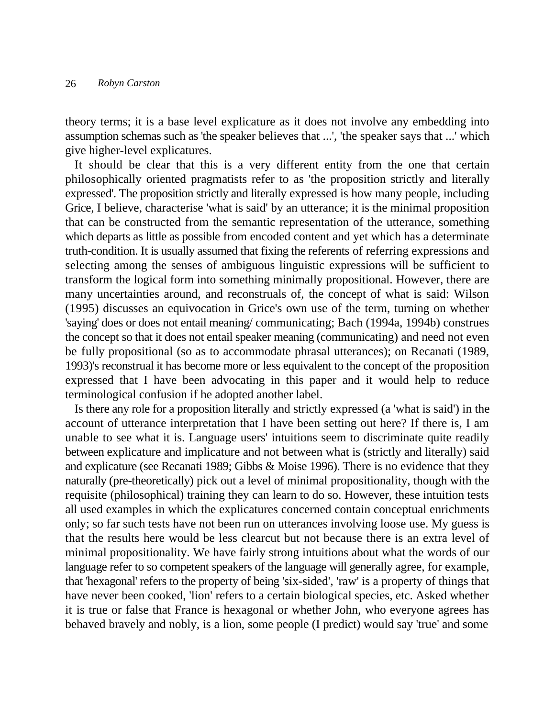theory terms; it is a base level explicature as it does not involve any embedding into assumption schemas such as 'the speaker believes that ...', 'the speaker says that ...' which give higher-level explicatures.

It should be clear that this is a very different entity from the one that certain philosophically oriented pragmatists refer to as 'the proposition strictly and literally expressed'. The proposition strictly and literally expressed is how many people, including Grice, I believe, characterise 'what is said' by an utterance; it is the minimal proposition that can be constructed from the semantic representation of the utterance, something which departs as little as possible from encoded content and yet which has a determinate truth-condition. It is usually assumed that fixing the referents of referring expressions and selecting among the senses of ambiguous linguistic expressions will be sufficient to transform the logical form into something minimally propositional. However, there are many uncertainties around, and reconstruals of, the concept of what is said: Wilson (1995) discusses an equivocation in Grice's own use of the term, turning on whether 'saying' does or does not entail meaning/ communicating; Bach (1994a, 1994b) construes the concept so that it does not entail speaker meaning (communicating) and need not even be fully propositional (so as to accommodate phrasal utterances); on Recanati (1989, 1993)'s reconstrual it has become more or less equivalent to the concept of the proposition expressed that I have been advocating in this paper and it would help to reduce terminological confusion if he adopted another label.

Is there any role for a proposition literally and strictly expressed (a 'what is said') in the account of utterance interpretation that I have been setting out here? If there is, I am unable to see what it is. Language users' intuitions seem to discriminate quite readily between explicature and implicature and not between what is (strictly and literally) said and explicature (see Recanati 1989; Gibbs & Moise 1996). There is no evidence that they naturally (pre-theoretically) pick out a level of minimal propositionality, though with the requisite (philosophical) training they can learn to do so. However, these intuition tests all used examples in which the explicatures concerned contain conceptual enrichments only; so far such tests have not been run on utterances involving loose use. My guess is that the results here would be less clearcut but not because there is an extra level of minimal propositionality. We have fairly strong intuitions about what the words of our language refer to so competent speakers of the language will generally agree, for example, that 'hexagonal' refers to the property of being 'six-sided', 'raw' is a property of things that have never been cooked, 'lion' refers to a certain biological species, etc. Asked whether it is true or false that France is hexagonal or whether John, who everyone agrees has behaved bravely and nobly, is a lion, some people (I predict) would say 'true' and some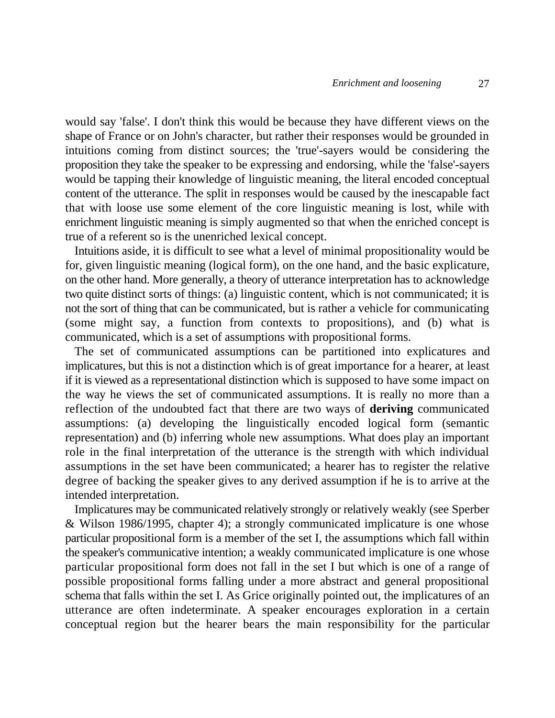would say 'false'. I don't think this would be because they have different views on the shape of France or on John's character, but rather their responses would be grounded in intuitions coming from distinct sources; the 'true'-sayers would be considering the proposition they take the speaker to be expressing and endorsing, while the 'false'-sayers would be tapping their knowledge of linguistic meaning, the literal encoded conceptual content of the utterance. The split in responses would be caused by the inescapable fact that with loose use some element of the core linguistic meaning is lost, while with enrichment linguistic meaning is simply augmented so that when the enriched concept is true of a referent so is the unenriched lexical concept.

Intuitions aside, it is difficult to see what a level of minimal propositionality would be for, given linguistic meaning (logical form), on the one hand, and the basic explicature, on the other hand. More generally, a theory of utterance interpretation has to acknowledge two quite distinct sorts of things: (a) linguistic content, which is not communicated; it is not the sort of thing that can be communicated, but is rather a vehicle for communicating (some might say, a function from contexts to propositions), and (b) what is communicated, which is a set of assumptions with propositional forms.

The set of communicated assumptions can be partitioned into explicatures and implicatures, but this is not a distinction which is of great importance for a hearer, at least if it is viewed as a representational distinction which is supposed to have some impact on the way he views the set of communicated assumptions. It is really no more than a reflection of the undoubted fact that there are two ways of **deriving** communicated assumptions: (a) developing the linguistically encoded logical form (semantic representation) and (b) inferring whole new assumptions. What does play an important role in the final interpretation of the utterance is the strength with which individual assumptions in the set have been communicated; a hearer has to register the relative degree of backing the speaker gives to any derived assumption if he is to arrive at the intended interpretation.

Implicatures may be communicated relatively strongly or relatively weakly (see Sperber & Wilson 1986/1995, chapter 4); a strongly communicated implicature is one whose particular propositional form is a member of the set I, the assumptions which fall within the speaker's communicative intention; a weakly communicated implicature is one whose particular propositional form does not fall in the set I but which is one of a range of possible propositional forms falling under a more abstract and general propositional schema that falls within the set I. As Grice originally pointed out, the implicatures of an utterance are often indeterminate. A speaker encourages exploration in a certain conceptual region but the hearer bears the main responsibility for the particular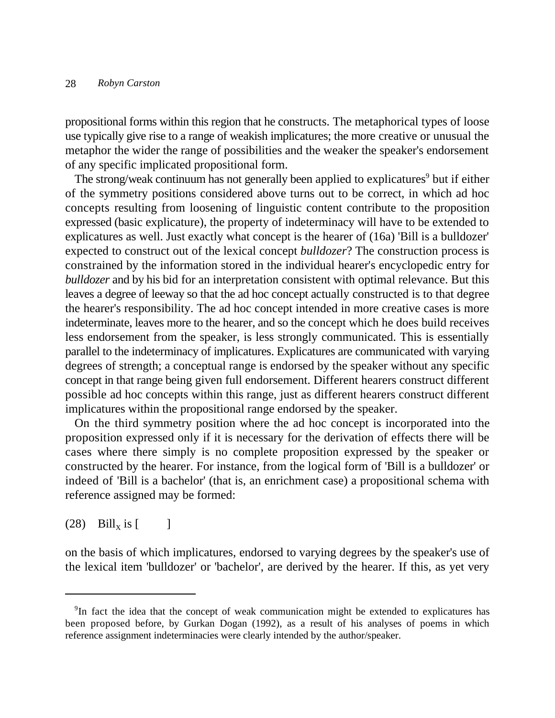propositional forms within this region that he constructs. The metaphorical types of loose use typically give rise to a range of weakish implicatures; the more creative or unusual the metaphor the wider the range of possibilities and the weaker the speaker's endorsement of any specific implicated propositional form.

The strong/weak continuum has not generally been applied to explicatures<sup>9</sup> but if either of the symmetry positions considered above turns out to be correct, in which ad hoc concepts resulting from loosening of linguistic content contribute to the proposition expressed (basic explicature), the property of indeterminacy will have to be extended to explicatures as well. Just exactly what concept is the hearer of (16a) 'Bill is a bulldozer' expected to construct out of the lexical concept *bulldozer*? The construction process is constrained by the information stored in the individual hearer's encyclopedic entry for *bulldozer* and by his bid for an interpretation consistent with optimal relevance. But this leaves a degree of leeway so that the ad hoc concept actually constructed is to that degree the hearer's responsibility. The ad hoc concept intended in more creative cases is more indeterminate, leaves more to the hearer, and so the concept which he does build receives less endorsement from the speaker, is less strongly communicated. This is essentially parallel to the indeterminacy of implicatures. Explicatures are communicated with varying degrees of strength; a conceptual range is endorsed by the speaker without any specific concept in that range being given full endorsement. Different hearers construct different possible ad hoc concepts within this range, just as different hearers construct different implicatures within the propositional range endorsed by the speaker.

On the third symmetry position where the ad hoc concept is incorporated into the proposition expressed only if it is necessary for the derivation of effects there will be cases where there simply is no complete proposition expressed by the speaker or constructed by the hearer. For instance, from the logical form of 'Bill is a bulldozer' or indeed of 'Bill is a bachelor' (that is, an enrichment case) a propositional schema with reference assigned may be formed:

# $(28)$  Bill<sub>x</sub> is [ ]

on the basis of which implicatures, endorsed to varying degrees by the speaker's use of the lexical item 'bulldozer' or 'bachelor', are derived by the hearer. If this, as yet very

 $9$ In fact the idea that the concept of weak communication might be extended to explicatures has been proposed before, by Gurkan Dogan (1992), as a result of his analyses of poems in which reference assignment indeterminacies were clearly intended by the author/speaker.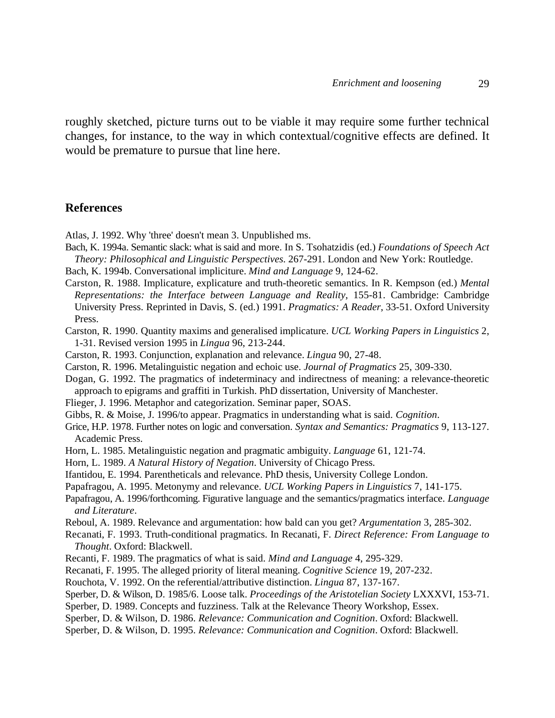roughly sketched, picture turns out to be viable it may require some further technical changes, for instance, to the way in which contextual/cognitive effects are defined. It would be premature to pursue that line here.

#### **References**

Atlas, J. 1992. Why 'three' doesn't mean 3. Unpublished ms.

- Bach, K. 1994a. Semantic slack: what is said and more. In S. Tsohatzidis (ed.) *Foundations of Speech Act Theory: Philosophical and Linguistic Perspectives*. 267-291. London and New York: Routledge.
- Bach, K. 1994b. Conversational impliciture. *Mind and Language* 9, 124-62.
- Carston, R. 1988. Implicature, explicature and truth-theoretic semantics. In R. Kempson (ed.) *Mental Representations: the Interface between Language and Reality*, 155-81. Cambridge: Cambridge University Press. Reprinted in Davis, S. (ed.) 1991. *Pragmatics: A Reader*, 33-51. Oxford University Press.
- Carston, R. 1990. Quantity maxims and generalised implicature. *UCL Working Papers in Linguistics* 2, 1-31. Revised version 1995 in *Lingua* 96, 213-244.
- Carston, R. 1993. Conjunction, explanation and relevance. *Lingua* 90, 27-48.
- Carston, R. 1996. Metalinguistic negation and echoic use. *Journal of Pragmatics* 25, 309-330.
- Dogan, G. 1992. The pragmatics of indeterminacy and indirectness of meaning: a relevance-theoretic approach to epigrams and graffiti in Turkish. PhD dissertation, University of Manchester.
- Flieger, J. 1996. Metaphor and categorization. Seminar paper, SOAS.
- Gibbs, R. & Moise, J. 1996/to appear. Pragmatics in understanding what is said. *Cognition*.
- Grice, H.P. 1978. Further notes on logic and conversation. *Syntax and Semantics: Pragmatics* 9, 113-127. Academic Press.
- Horn, L. 1985. Metalinguistic negation and pragmatic ambiguity. *Language* 61, 121-74.
- Horn, L. 1989. *A Natural History of Negation*. University of Chicago Press.
- Ifantidou, E. 1994. Parentheticals and relevance. PhD thesis, University College London.
- Papafragou, A. 1995. Metonymy and relevance. *UCL Working Papers in Linguistics* 7, 141-175.
- Papafragou, A. 1996/forthcoming. Figurative language and the semantics/pragmatics interface. *Language and Literature*.
- Reboul, A. 1989. Relevance and argumentation: how bald can you get? *Argumentation* 3, 285-302.
- Recanati, F. 1993. Truth-conditional pragmatics. In Recanati, F. *Direct Reference: From Language to Thought*. Oxford: Blackwell.
- Recanti, F. 1989. The pragmatics of what is said. *Mind and Language* 4, 295-329.
- Recanati, F. 1995. The alleged priority of literal meaning. *Cognitive Science* 19, 207-232.
- Rouchota, V. 1992. On the referential/attributive distinction. *Lingua* 87, 137-167.
- Sperber, D. & Wilson, D. 1985/6. Loose talk. *Proceedings of the Aristotelian Society* LXXXVI, 153-71.
- Sperber, D. 1989. Concepts and fuzziness. Talk at the Relevance Theory Workshop, Essex.
- Sperber, D. & Wilson, D. 1986. *Relevance: Communication and Cognition*. Oxford: Blackwell.
- Sperber, D. & Wilson, D. 1995. *Relevance: Communication and Cognition*. Oxford: Blackwell.